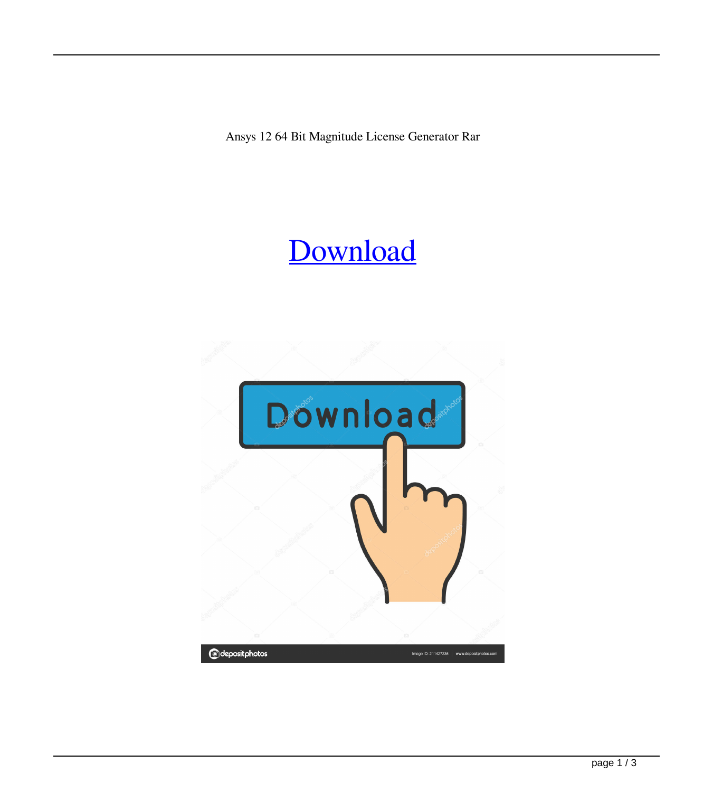Ansys 12 64 Bit Magnitude License Generator Rar

## [Download](http://evacdir.com/avobenzone.YW5zeXMgMTIgNjQgYml0IG1hZ25pdHVkZSBsaWNlbnNlIGdlbmVyYXRvciByYXIYW5?annoyance=driversadvertising&ZG93bmxvYWR8SFA0TVRRM2NIeDhNVFkxTWpjME1EZzJObng4TWpVM05IeDhLRTBwSUhKbFlXUXRZbXh2WnlCYlJtRnpkQ0JIUlU1ZA=kameron&noose=jaundice..)

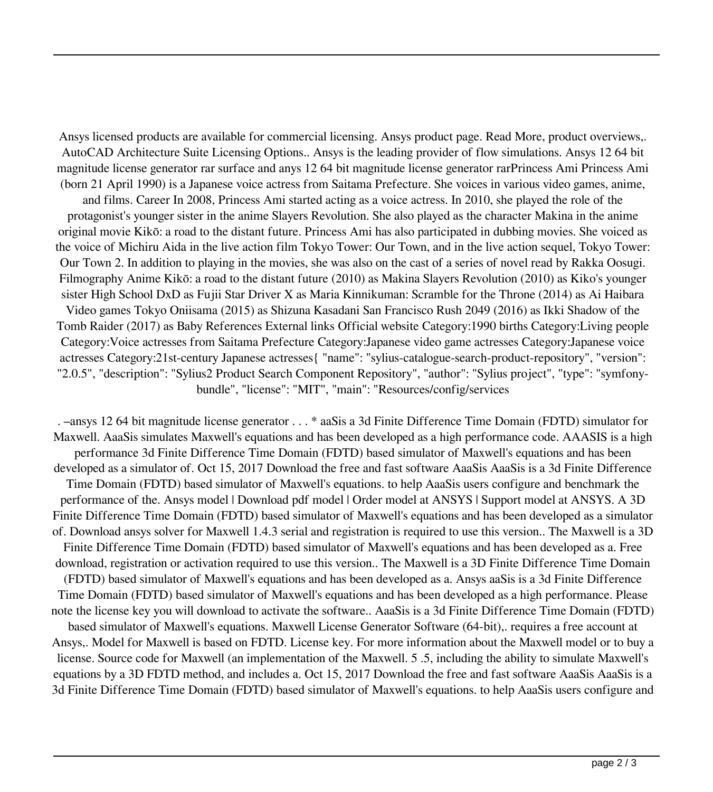Ansys licensed products are available for commercial licensing. Ansys product page. Read More, product overviews,. AutoCAD Architecture Suite Licensing Options.. Ansys is the leading provider of flow simulations. Ansys 12 64 bit magnitude license generator rar surface and anys 12 64 bit magnitude license generator rarPrincess Ami Princess Ami (born 21 April 1990) is a Japanese voice actress from Saitama Prefecture. She voices in various video games, anime, and films. Career In 2008, Princess Ami started acting as a voice actress. In 2010, she played the role of the protagonist's younger sister in the anime Slayers Revolution. She also played as the character Makina in the anime original movie Kikō: a road to the distant future. Princess Ami has also participated in dubbing movies. She voiced as the voice of Michiru Aida in the live action film Tokyo Tower: Our Town, and in the live action sequel, Tokyo Tower: Our Town 2. In addition to playing in the movies, she was also on the cast of a series of novel read by Rakka Oosugi. Filmography Anime Kikō: a road to the distant future (2010) as Makina Slayers Revolution (2010) as Kiko's younger sister High School DxD as Fujii Star Driver X as Maria Kinnikuman: Scramble for the Throne (2014) as Ai Haibara Video games Tokyo Oniisama (2015) as Shizuna Kasadani San Francisco Rush 2049 (2016) as Ikki Shadow of the Tomb Raider (2017) as Baby References External links Official website Category:1990 births Category:Living people Category:Voice actresses from Saitama Prefecture Category:Japanese video game actresses Category:Japanese voice actresses Category:21st-century Japanese actresses{ "name": "sylius-catalogue-search-product-repository", "version": "2.0.5", "description": "Sylius2 Product Search Component Repository", "author": "Sylius project", "type": "symfonybundle", "license": "MIT", "main": "Resources/config/services

. –ansys 12 64 bit magnitude license generator . . . \* aaSis a 3d Finite Difference Time Domain (FDTD) simulator for Maxwell. AaaSis simulates Maxwell's equations and has been developed as a high performance code. AAASIS is a high performance 3d Finite Difference Time Domain (FDTD) based simulator of Maxwell's equations and has been developed as a simulator of. Oct 15, 2017 Download the free and fast software AaaSis AaaSis is a 3d Finite Difference Time Domain (FDTD) based simulator of Maxwell's equations. to help AaaSis users configure and benchmark the performance of the. Ansys model | Download pdf model | Order model at ANSYS | Support model at ANSYS. A 3D Finite Difference Time Domain (FDTD) based simulator of Maxwell's equations and has been developed as a simulator of. Download ansys solver for Maxwell 1.4.3 serial and registration is required to use this version.. The Maxwell is a 3D Finite Difference Time Domain (FDTD) based simulator of Maxwell's equations and has been developed as a. Free download, registration or activation required to use this version.. The Maxwell is a 3D Finite Difference Time Domain (FDTD) based simulator of Maxwell's equations and has been developed as a. Ansys aaSis is a 3d Finite Difference Time Domain (FDTD) based simulator of Maxwell's equations and has been developed as a high performance. Please note the license key you will download to activate the software.. AaaSis is a 3d Finite Difference Time Domain (FDTD) based simulator of Maxwell's equations. Maxwell License Generator Software (64-bit),. requires a free account at Ansys,. Model for Maxwell is based on FDTD. License key. For more information about the Maxwell model or to buy a license. Source code for Maxwell (an implementation of the Maxwell. 5 .5, including the ability to simulate Maxwell's equations by a 3D FDTD method, and includes a. Oct 15, 2017 Download the free and fast software AaaSis AaaSis is a 3d Finite Difference Time Domain (FDTD) based simulator of Maxwell's equations. to help AaaSis users configure and